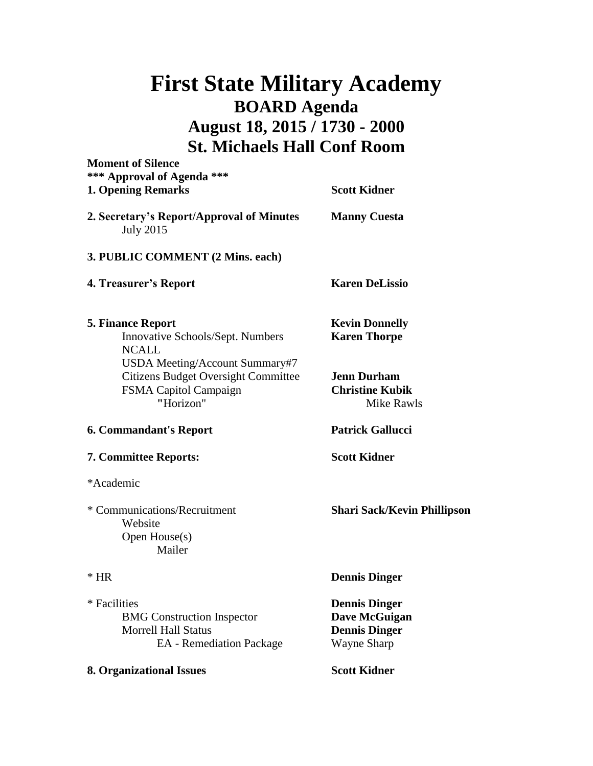## **First State Military Academy BOARD Agenda August 18, 2015 / 1730 - 2000 St. Michaels Hall Conf Room**

| <b>Moment of Silence</b><br>*** Approval of Agenda ***<br><b>1. Opening Remarks</b>                                       | <b>Scott Kidner</b>                                                                 |
|---------------------------------------------------------------------------------------------------------------------------|-------------------------------------------------------------------------------------|
| 2. Secretary's Report/Approval of Minutes<br><b>July 2015</b>                                                             | <b>Manny Cuesta</b>                                                                 |
| 3. PUBLIC COMMENT (2 Mins. each)                                                                                          |                                                                                     |
| 4. Treasurer's Report                                                                                                     | <b>Karen DeLissio</b>                                                               |
| <b>5. Finance Report</b><br>Innovative Schools/Sept. Numbers<br><b>NCALL</b>                                              | <b>Kevin Donnelly</b><br><b>Karen Thorpe</b>                                        |
| USDA Meeting/Account Summary#7<br><b>Citizens Budget Oversight Committee</b><br><b>FSMA Capitol Campaign</b><br>"Horizon" | <b>Jenn Durham</b><br><b>Christine Kubik</b><br>Mike Rawls                          |
| <b>6. Commandant's Report</b>                                                                                             | <b>Patrick Gallucci</b>                                                             |
| 7. Committee Reports:                                                                                                     | <b>Scott Kidner</b>                                                                 |
| *Academic                                                                                                                 |                                                                                     |
| * Communications/Recruitment<br>Website<br>Open House(s)<br>Mailer                                                        | <b>Shari Sack/Kevin Phillipson</b>                                                  |
| $*$ HR                                                                                                                    | <b>Dennis Dinger</b>                                                                |
| * Facilities<br><b>BMG</b> Construction Inspector<br><b>Morrell Hall Status</b><br><b>EA</b> - Remediation Package        | <b>Dennis Dinger</b><br>Dave McGuigan<br><b>Dennis Dinger</b><br><b>Wayne Sharp</b> |
| 8. Organizational Issues                                                                                                  | <b>Scott Kidner</b>                                                                 |